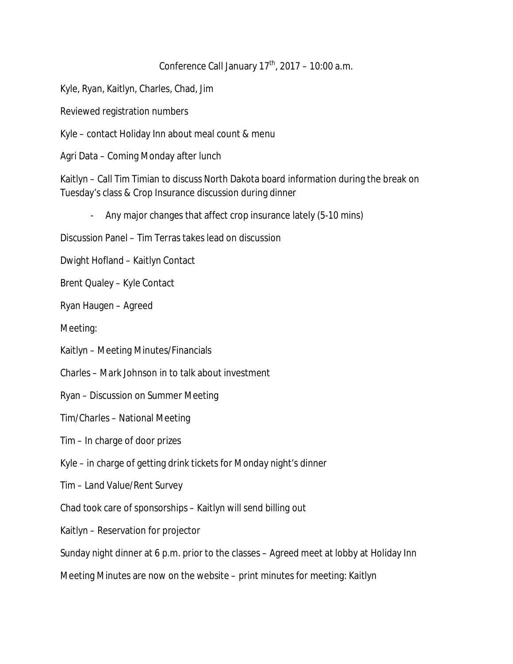## Conference Call January  $17<sup>th</sup>$ , 2017 – 10:00 a.m.

Kyle, Ryan, Kaitlyn, Charles, Chad, Jim

Reviewed registration numbers

Kyle – contact Holiday Inn about meal count & menu

Agri Data – Coming Monday after lunch

Kaitlyn – Call Tim Timian to discuss North Dakota board information during the break on Tuesday's class & Crop Insurance discussion during dinner

- Any major changes that affect crop insurance lately (5-10 mins)

Discussion Panel – Tim Terras takes lead on discussion

Dwight Hofland – Kaitlyn Contact

Brent Qualey – Kyle Contact

Ryan Haugen – Agreed

Meeting:

Kaitlyn – Meeting Minutes/Financials

Charles – Mark Johnson in to talk about investment

Ryan – Discussion on Summer Meeting

Tim/Charles – National Meeting

Tim – In charge of door prizes

Kyle – in charge of getting drink tickets for Monday night's dinner

Tim – Land Value/Rent Survey

Chad took care of sponsorships – Kaitlyn will send billing out

Kaitlyn – Reservation for projector

Sunday night dinner at 6 p.m. prior to the classes – Agreed meet at lobby at Holiday Inn

Meeting Minutes are now on the website – print minutes for meeting: Kaitlyn